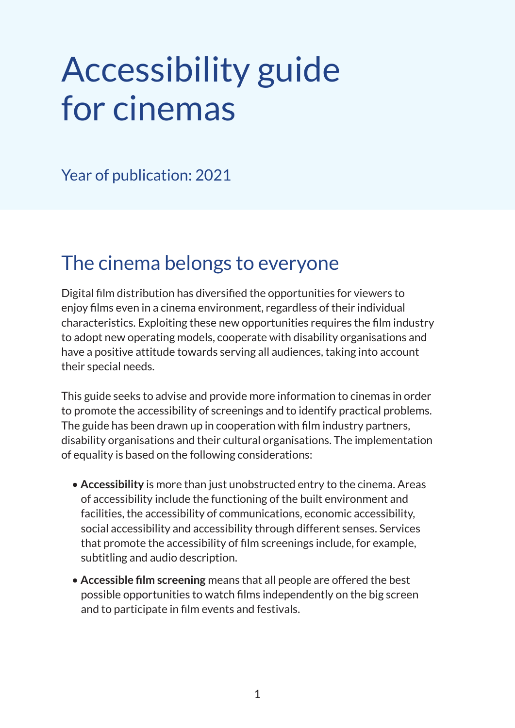# Accessibility guide for cinemas

Year of publication: 2021

### The cinema belongs to everyone

Digital film distribution has diversified the opportunities for viewers to enjoy films even in a cinema environment, regardless of their individual characteristics. Exploiting these new opportunities requires the film industry to adopt new operating models, cooperate with disability organisations and have a positive attitude towards serving all audiences, taking into account their special needs.

This guide seeks to advise and provide more information to cinemas in order to promote the accessibility of screenings and to identify practical problems. The guide has been drawn up in cooperation with film industry partners, disability organisations and their cultural organisations. The implementation of equality is based on the following considerations:

- **Accessibility** is more than just unobstructed entry to the cinema. Areas of accessibility include the functioning of the built environment and facilities, the accessibility of communications, economic accessibility, social accessibility and accessibility through different senses. Services that promote the accessibility of film screenings include, for example, subtitling and audio description.
- **Accessible film screening** means that all people are offered the best possible opportunities to watch films independently on the big screen and to participate in film events and festivals.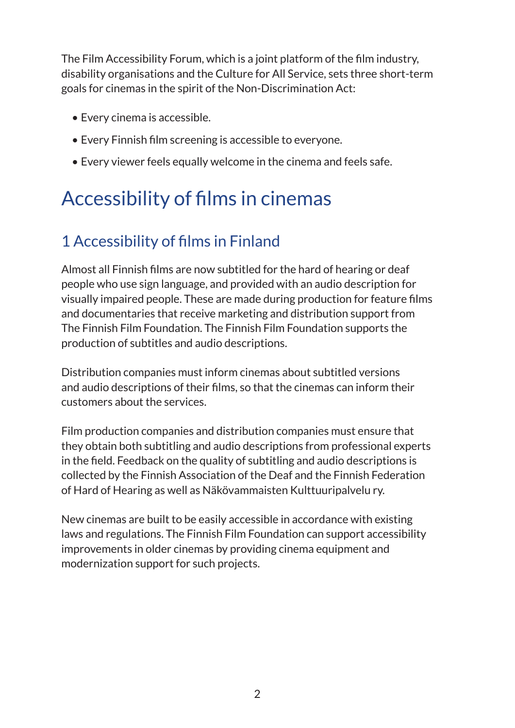The Film Accessibility Forum, which is a joint platform of the film industry, disability organisations and the Culture for All Service, sets three short-term goals for cinemas in the spirit of the Non-Discrimination Act:

- Every cinema is accessible.
- Every Finnish film screening is accessible to everyone.
- Every viewer feels equally welcome in the cinema and feels safe.

# Accessibility of films in cinemas

### 1 Accessibility of films in Finland

Almost all Finnish films are now subtitled for the hard of hearing or deaf people who use sign language, and provided with an audio description for visually impaired people. These are made during production for feature films and documentaries that receive marketing and distribution support from The Finnish Film Foundation. The Finnish Film Foundation supports the production of subtitles and audio descriptions.

Distribution companies must inform cinemas about subtitled versions and audio descriptions of their films, so that the cinemas can inform their customers about the services.

Film production companies and distribution companies must ensure that they obtain both subtitling and audio descriptions from professional experts in the field. Feedback on the quality of subtitling and audio descriptions is collected by the Finnish Association of the Deaf and the Finnish Federation of Hard of Hearing as well as Näkövammaisten Kulttuuripalvelu ry.

New cinemas are built to be easily accessible in accordance with existing laws and regulations. The Finnish Film Foundation can support accessibility improvements in older cinemas by providing cinema equipment and modernization support for such projects.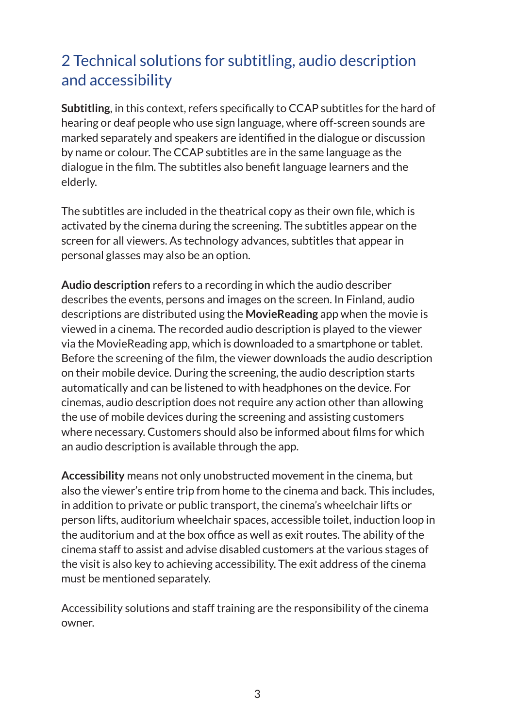### 2 Technical solutions for subtitling, audio description and accessibility

**Subtitling**, in this context, refers specifically to CCAP subtitles for the hard of hearing or deaf people who use sign language, where off-screen sounds are marked separately and speakers are identified in the dialogue or discussion by name or colour. The CCAP subtitles are in the same language as the dialogue in the film. The subtitles also benefit language learners and the elderly.

The subtitles are included in the theatrical copy as their own file, which is activated by the cinema during the screening. The subtitles appear on the screen for all viewers. As technology advances, subtitles that appear in personal glasses may also be an option.

**Audio description** refers to a recording in which the audio describer describes the events, persons and images on the screen. In Finland, audio descriptions are distributed using the **MovieReading** app when the movie is viewed in a cinema. The recorded audio description is played to the viewer via the MovieReading app, which is downloaded to a smartphone or tablet. Before the screening of the film, the viewer downloads the audio description on their mobile device. During the screening, the audio description starts automatically and can be listened to with headphones on the device. For cinemas, audio description does not require any action other than allowing the use of mobile devices during the screening and assisting customers where necessary. Customers should also be informed about films for which an audio description is available through the app.

**Accessibility** means not only unobstructed movement in the cinema, but also the viewer's entire trip from home to the cinema and back. This includes, in addition to private or public transport, the cinema's wheelchair lifts or person lifts, auditorium wheelchair spaces, accessible toilet, induction loop in the auditorium and at the box office as well as exit routes. The ability of the cinema staff to assist and advise disabled customers at the various stages of the visit is also key to achieving accessibility. The exit address of the cinema must be mentioned separately.

Accessibility solutions and staff training are the responsibility of the cinema owner.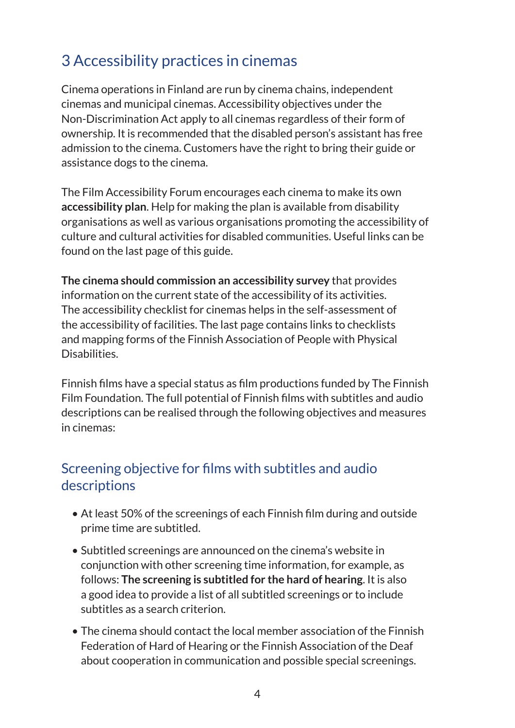### 3 Accessibility practices in cinemas

Cinema operations in Finland are run by cinema chains, independent cinemas and municipal cinemas. Accessibility objectives under the Non-Discrimination Act apply to all cinemas regardless of their form of ownership. It is recommended that the disabled person's assistant has free admission to the cinema. Customers have the right to bring their guide or assistance dogs to the cinema.

The Film Accessibility Forum encourages each cinema to make its own **accessibility plan**. Help for making the plan is available from disability organisations as well as various organisations promoting the accessibility of culture and cultural activities for disabled communities. Useful links can be found on the last page of this guide.

**The cinema should commission an accessibility survey** that provides information on the current state of the accessibility of its activities. The accessibility checklist for cinemas helps in the self-assessment of the accessibility of facilities. The last page contains links to checklists and mapping forms of the Finnish Association of People with Physical Disabilities.

Finnish films have a special status as film productions funded by The Finnish Film Foundation. The full potential of Finnish films with subtitles and audio descriptions can be realised through the following objectives and measures in cinemas:

### Screening objective for films with subtitles and audio descriptions

- At least 50% of the screenings of each Finnish film during and outside prime time are subtitled.
- Subtitled screenings are announced on the cinema's website in conjunction with other screening time information, for example, as follows: **The screening is subtitled for the hard of hearing**. It is also a good idea to provide a list of all subtitled screenings or to include subtitles as a search criterion.
- The cinema should contact the local member association of the Finnish Federation of Hard of Hearing or the Finnish Association of the Deaf about cooperation in communication and possible special screenings.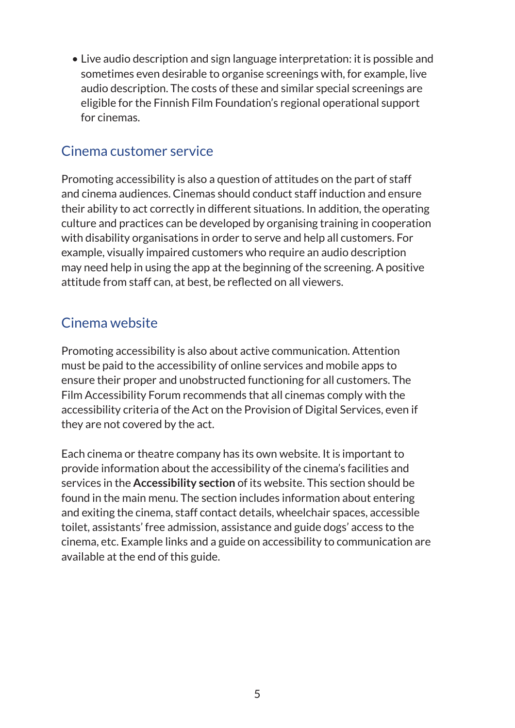• Live audio description and sign language interpretation: it is possible and sometimes even desirable to organise screenings with, for example, live audio description. The costs of these and similar special screenings are eligible for the Finnish Film Foundation's regional operational support for cinemas.

### Cinema customer service

Promoting accessibility is also a question of attitudes on the part of staff and cinema audiences. Cinemas should conduct staff induction and ensure their ability to act correctly in different situations. In addition, the operating culture and practices can be developed by organising training in cooperation with disability organisations in order to serve and help all customers. For example, visually impaired customers who require an audio description may need help in using the app at the beginning of the screening. A positive attitude from staff can, at best, be reflected on all viewers.

### Cinema website

Promoting accessibility is also about active communication. Attention must be paid to the accessibility of online services and mobile apps to ensure their proper and unobstructed functioning for all customers. The Film Accessibility Forum recommends that all cinemas comply with the accessibility criteria of the Act on the Provision of Digital Services, even if they are not covered by the act.

Each cinema or theatre company has its own website. It is important to provide information about the accessibility of the cinema's facilities and services in the **Accessibility section** of its website. This section should be found in the main menu. The section includes information about entering and exiting the cinema, staff contact details, wheelchair spaces, accessible toilet, assistants' free admission, assistance and guide dogs' access to the cinema, etc. Example links and a guide on accessibility to communication are available at the end of this guide.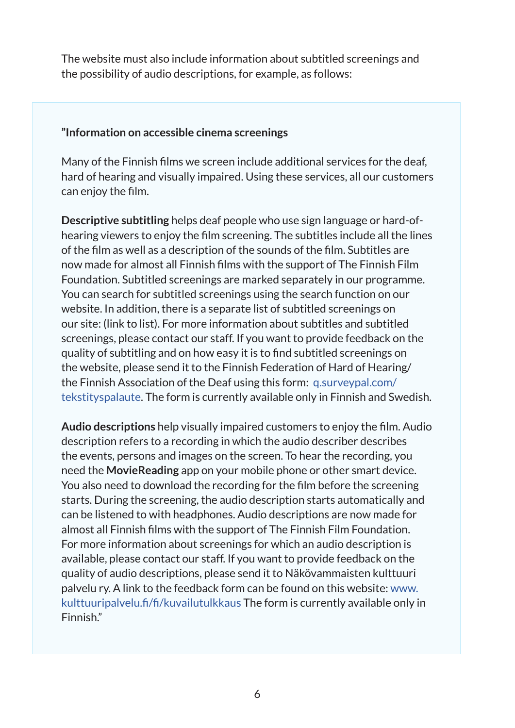The website must also include information about subtitled screenings and the possibility of audio descriptions, for example, as follows:

#### **"Information on accessible cinema screenings**

Many of the Finnish films we screen include additional services for the deaf, hard of hearing and visually impaired. Using these services, all our customers can enjoy the film.

**Descriptive subtitling** helps deaf people who use sign language or hard-ofhearing viewers to enjoy the film screening. The subtitles include all the lines of the film as well as a description of the sounds of the film. Subtitles are now made for almost all Finnish films with the support of The Finnish Film Foundation. Subtitled screenings are marked separately in our programme. You can search for subtitled screenings using the search function on our website. In addition, there is a separate list of subtitled screenings on our site: (link to list). For more information about subtitles and subtitled screenings, please contact our staff. If you want to provide feedback on the quality of subtitling and on how easy it is to find subtitled screenings on the website, please send it to the Finnish Federation of Hard of Hearing/ the Finnish Association of the Deaf using this form: [q.surveypal.com/](http://q.surveypal.com/tekstityspalaute) [tekstityspalaute.](http://q.surveypal.com/tekstityspalaute) The form is currently available only in Finnish and Swedish.

**Audio descriptions** help visually impaired customers to enjoy the film. Audio description refers to a recording in which the audio describer describes the events, persons and images on the screen. To hear the recording, you need the **MovieReading** app on your mobile phone or other smart device. You also need to download the recording for the film before the screening starts. During the screening, the audio description starts automatically and can be listened to with headphones. Audio descriptions are now made for almost all Finnish films with the support of The Finnish Film Foundation. For more information about screenings for which an audio description is available, please contact our staff. If you want to provide feedback on the quality of audio descriptions, please send it to Näkövammaisten kulttuuri palvelu ry. A link to the feedback form can be found on this website: [www.](http://www.kulttuuripalvelu.fi/fi/kuvailutulkkaus) [kulttuuripalvelu.fi/fi/kuvailutulkkaus](http://www.kulttuuripalvelu.fi/fi/kuvailutulkkaus) The form is currently available only in Finnish."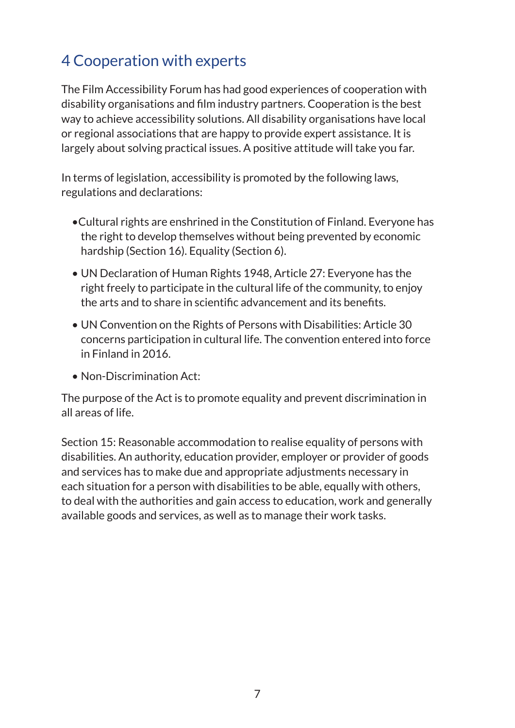### 4 Cooperation with experts

The Film Accessibility Forum has had good experiences of cooperation with disability organisations and film industry partners. Cooperation is the best way to achieve accessibility solutions. All disability organisations have local or regional associations that are happy to provide expert assistance. It is largely about solving practical issues. A positive attitude will take you far.

In terms of legislation, accessibility is promoted by the following laws, regulations and declarations:

- •Cultural rights are enshrined in the Constitution of Finland. Everyone has the right to develop themselves without being prevented by economic hardship (Section 16). Equality (Section 6).
- UN Declaration of Human Rights 1948, Article 27: Everyone has the right freely to participate in the cultural life of the community, to enjoy the arts and to share in scientific advancement and its benefits.
- UN Convention on the Rights of Persons with Disabilities: Article 30 concerns participation in cultural life. The convention entered into force in Finland in 2016.
- Non-Discrimination Act:

The purpose of the Act is to promote equality and prevent discrimination in all areas of life.

Section 15: Reasonable accommodation to realise equality of persons with disabilities. An authority, education provider, employer or provider of goods and services has to make due and appropriate adjustments necessary in each situation for a person with disabilities to be able, equally with others, to deal with the authorities and gain access to education, work and generally available goods and services, as well as to manage their work tasks.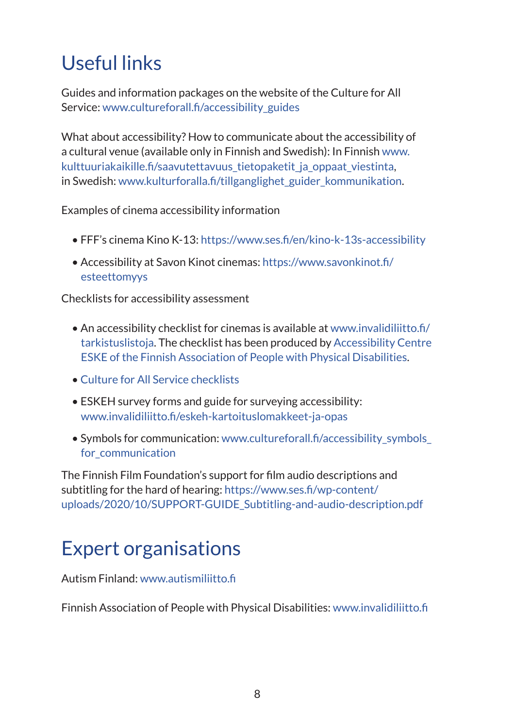# Useful links

Guides and information packages on the website of the Culture for All Service: [www.cultureforall.fi/accessibility\\_guides](http://www.cultureforall.fi/accessibility_guides)

What about accessibility? How to communicate about the accessibility of a cultural venue (available only in Finnish and Swedish): In Finnish [www.](http://www.kulttuuriakaikille.fi/saavutettavuus_tietopaketit_ja_oppaat_viestinta) kulttuuriakaikille.fi/saavutettavuus tietopaketit ja oppaat viestinta, in Swedish: [www.kulturforalla.fi/tillganglighet\\_guider\\_kommunikation](http://www.kulturforalla.fi/tillganglighet_guider_kommunikation).

Examples of cinema accessibility information

- FFF's cinema Kino K-13:<https://www.ses.fi/en/kino-k-13s-accessibility>
- Accessibility at Savon Kinot cinemas: [https://www.savonkinot.fi/](https://www.savonkinot.fi/esteettomyys) [esteettomyys](https://www.savonkinot.fi/esteettomyys)

Checklists for accessibility assessment

- An accessibility checklist for cinemas is available at [www.invalidiliitto.fi/](http://www.invalidiliitto.fi/tarkistuslistoja) tarkistuslistoja. The checklist has been produced by [Accessibility Centre](https://www.invalidiliitto.fi/esteettomyys/esteettomyyskeskus-eske)  [ESKE of the Finnish Association of People with Physical Disabilities](https://www.invalidiliitto.fi/esteettomyys/esteettomyyskeskus-eske).
- [Culture for All Service checklists](http://www.kulttuuriakaikille.fi/accessibility_checklists)
- ESKEH survey forms and guide for surveying accessibility: [www.invalidiliitto.fi/eskeh-kartoituslomakkeet-ja-opas](http://www.invalidiliitto.fi/eskeh-kartoituslomakkeet-ja-opas)
- Symbols for communication: [www.cultureforall.fi/accessibility\\_symbols\\_](http://www.cultureforall.fi/accessibility_symbols_for_communication) for communication

The Finnish Film Foundation's support for film audio descriptions and subtitling for the hard of hearing: [https://www.ses.fi/wp-content/](https://www.ses.fi/wp-content/uploads/2020/10/SUPPORT-GUIDE_Subtitling-and-audio-description.pdf) [uploads/2020/10/SUPPORT-GUIDE\\_Subtitling-and-audio-description.pdf](https://www.ses.fi/wp-content/uploads/2020/10/SUPPORT-GUIDE_Subtitling-and-audio-description.pdf)

# Expert organisations

Autism Finland: [www.autismiliitto.fi](http://www.autismiliitto.fi)

Finnish Association of People with Physical Disabilities: [www.invalidiliitto.fi](http://www.invalidiliitto.fi)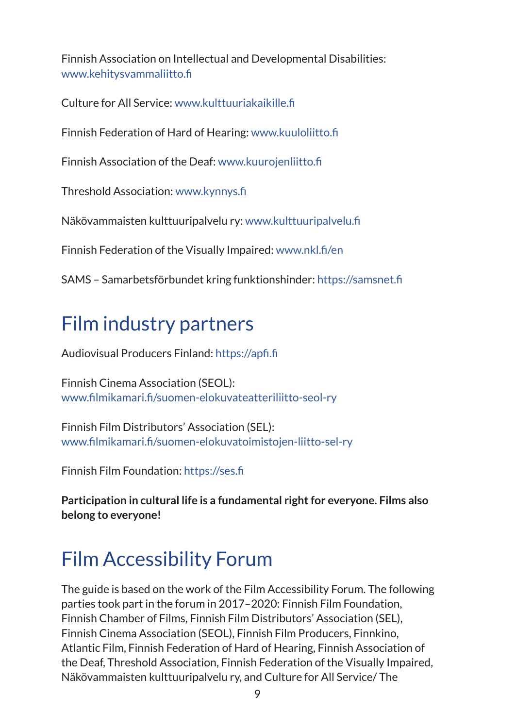Finnish Association on Intellectual and Developmental Disabilities: [www.kehitysvammaliitto.fi](http://www.kehitysvammaliitto.fi)

Culture for All Service: [www.kulttuuriakaikille.fi](http://www.kulttuuriakaikille.fi)

Finnish Federation of Hard of Hearing: [www.kuuloliitto.fi](http://www.kuuloliitto.fi)

Finnish Association of the Deaf: [www.kuurojenliitto.fi](http://www.kuurojenliitto.fi)

Threshold Association: [www.kynnys.fi](http://www.kynnys.fi)

Näkövammaisten kulttuuripalvelu ry: [www.kulttuuripalvelu.fi](http://www.kulttuuripalvelu.fi)

Finnish Federation of the Visually Impaired: [www.nkl.fi/en](http://www.nkl.fi/en)

SAMS – Samarbetsförbundet kring funktionshinder: <https://samsnet.fi>

## Film industry partners

Audiovisual Producers Finland:<https://apfi.fi>

Finnish Cinema Association (SEOL): [www.filmikamari.fi/suomen-elokuvateatteriliitto-seol-ry](http://www.filmikamari.fi/suomen-elokuvateatteriliitto-seol-ry)

Finnish Film Distributors' Association (SEL): [www.filmikamari.fi/suomen-elokuvatoimistojen-liitto-sel-ry](http://www.filmikamari.fi/suomen-elokuvatoimistojen-liitto-sel-ry)

Finnish Film Foundation: <https://ses.fi>

**Participation in cultural life is a fundamental right for everyone. Films also belong to everyone!**

# Film Accessibility Forum

The guide is based on the work of the Film Accessibility Forum. The following parties took part in the forum in 2017–2020: Finnish Film Foundation, Finnish Chamber of Films, Finnish Film Distributors' Association (SEL), Finnish Cinema Association (SEOL), Finnish Film Producers, Finnkino, Atlantic Film, Finnish Federation of Hard of Hearing, Finnish Association of the Deaf, Threshold Association, Finnish Federation of the Visually Impaired, Näkövammaisten kulttuuripalvelu ry, and Culture for All Service/ The